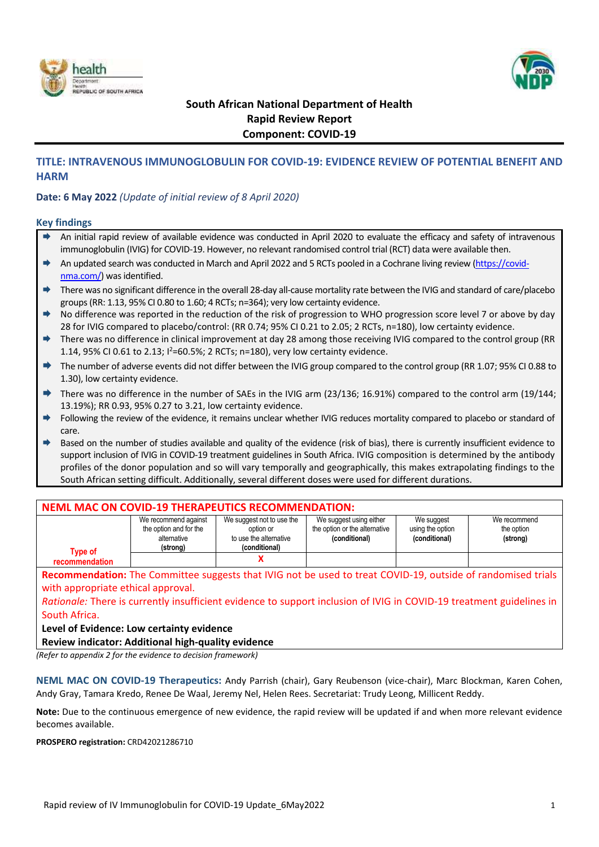



# **South African National Department of Health Rapid Review Report Component: COVID-19**

## **TITLE: INTRAVENOUS IMMUNOGLOBULIN FOR COVID-19: EVIDENCE REVIEW OF POTENTIAL BENEFIT AND HARM**

## **Date: 6 May 2022** *(Update of initial review of 8 April 2020)*

#### **Key findings**

- An initial rapid review of available evidence was conducted in April 2020 to evaluate the efficacy and safety of intravenous immunoglobulin (IVIG) for COVID-19. However, no relevant randomised control trial (RCT) data were available then.
- ◆ An updated search was conducted in March and April 2022 and 5 RCTs pooled in a Cochrane living review [\(https://covid](https://covid-nma.com/)[nma.com/\)](https://covid-nma.com/) was identified.
- ◆ There was no significant difference in the overall 28-day all-cause mortality rate between the IVIG and standard of care/placebo groups(RR: 1.13, 95% CI 0.80 to 1.60; 4 RCTs; n=364); very low certainty evidence.
- ◆ No difference was reported in the reduction of the risk of progression to WHO progression score level 7 or above by day 28 for IVIG compared to placebo/control: (RR 0.74; 95% CI 0.21 to 2.05; 2 RCTs, n=180), low certainty evidence.
- There was no difference in clinical improvement at day 28 among those receiving IVIG compared to the control group (RR 1.14, 95% CI 0.61 to 2.13;  $1^2$ =60.5%; 2 RCTs; n=180), very low certainty evidence.
- The number of adverse events did not differ between the IVIG group compared to the control group (RR 1.07; 95% CI 0.88 to 1.30), low certainty evidence.
- There was no difference in the number of SAEs in the IVIG arm (23/136; 16.91%) compared to the control arm (19/144; 13.19%); RR 0.93, 95% 0.27 to 3.21, low certainty evidence.
- Following the review of the evidence, it remains unclear whether IVIG reduces mortality compared to placebo or standard of care.
- → Based on the number of studies available and quality of the evidence (risk of bias), there is currently insufficient evidence to support inclusion of IVIG in COVID-19 treatment guidelines in South Africa. IVIG composition is determined by the antibody profiles of the donor population and so will vary temporally and geographically, this makes extrapolating findings to the South African setting difficult. Additionally, several different doses were used for different durations.

| <b>NEML MAC ON COVID-19 THERAPEUTICS RECOMMENDATION:</b>                                                             |                                                                           |                                                                                   |                                                                           |                                                 |                                                                                                              |  |  |
|----------------------------------------------------------------------------------------------------------------------|---------------------------------------------------------------------------|-----------------------------------------------------------------------------------|---------------------------------------------------------------------------|-------------------------------------------------|--------------------------------------------------------------------------------------------------------------|--|--|
| <b>Type of</b>                                                                                                       | We recommend against<br>the option and for the<br>alternative<br>(strong) | We suggest not to use the<br>option or<br>to use the alternative<br>(conditional) | We suggest using either<br>the option or the alternative<br>(conditional) | We suggest<br>using the option<br>(conditional) | We recommend<br>the option<br>(strong)                                                                       |  |  |
| recommendation                                                                                                       |                                                                           |                                                                                   |                                                                           |                                                 |                                                                                                              |  |  |
|                                                                                                                      |                                                                           |                                                                                   |                                                                           |                                                 | Recommendation: The Committee suggests that IVIG not be used to treat COVID-19, outside of randomised trials |  |  |
| with appropriate ethical approval.                                                                                   |                                                                           |                                                                                   |                                                                           |                                                 |                                                                                                              |  |  |
| Rationale: There is currently insufficient evidence to support inclusion of IVIG in COVID-19 treatment guidelines in |                                                                           |                                                                                   |                                                                           |                                                 |                                                                                                              |  |  |
| South Africa.                                                                                                        |                                                                           |                                                                                   |                                                                           |                                                 |                                                                                                              |  |  |
|                                                                                                                      |                                                                           |                                                                                   |                                                                           |                                                 |                                                                                                              |  |  |

#### **Level of Evidence: Low certainty evidence**

**Review indicator: Additional high-quality evidence** 

*(Refer to appendix 2 for the evidence to decision framework)*

**NEML MAC ON COVID-19 Therapeutics:** Andy Parrish (chair), Gary Reubenson (vice-chair), Marc Blockman, Karen Cohen, Andy Gray, Tamara Kredo, Renee De Waal, Jeremy Nel, Helen Rees. Secretariat: Trudy Leong, Millicent Reddy.

**Note:** Due to the continuous emergence of new evidence, the rapid review will be updated if and when more relevant evidence becomes available.

**PROSPERO registration:** CRD42021286710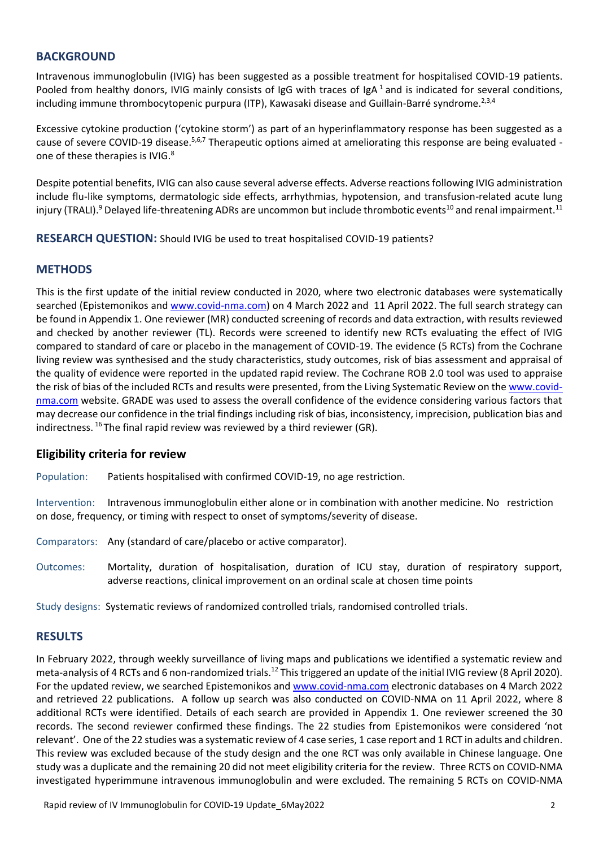## **BACKGROUND**

Intravenous immunoglobulin (IVIG) has been suggested as a possible treatment for hospitalised COVID-19 patients. Pooled from healthy donors, IVIG mainly consists of IgG with traces of IgA $^1$  and is indicated for several conditions, including immune thrombocytopenic purpura (ITP), Kawasaki disease and Guillain-Barré syndrome.<sup>2,3,4</sup>

Excessive cytokine production ('cytokine storm') as part of an hyperinflammatory response has been suggested as a cause of severe COVID-19 disease.<sup>5,6,7</sup> Therapeutic options aimed at ameliorating this response are being evaluated one of these therapies is IVIG.<sup>8</sup>

Despite potential benefits, IVIG can also cause several adverse effects. Adverse reactionsfollowing IVIG administration include flu-like symptoms, dermatologic side effects, arrhythmias, hypotension, and transfusion-related acute lung injury (TRALI).<sup>9</sup> Delayed life-threatening ADRs are uncommon but include thrombotic events<sup>10</sup> and renal impairment.<sup>11</sup>

**RESEARCH QUESTION:** Should IVIG be used to treat hospitalised COVID-19 patients?

## **METHODS**

This is the first update of the initial review conducted in 2020, where two electronic databases were systematically searched (Epistemonikos an[d www.covid-nma.com\)](http://www.covid-nma.com/) on 4 March 2022 and 11 April 2022. The full search strategy can be found in Appendix 1. One reviewer (MR) conducted screening of records and data extraction, with results reviewed and checked by another reviewer (TL). Records were screened to identify new RCTs evaluating the effect of IVIG compared to standard of care or placebo in the management of COVID-19. The evidence (5 RCTs) from the Cochrane living review was synthesised and the study characteristics, study outcomes, risk of bias assessment and appraisal of the quality of evidence were reported in the updated rapid review. The Cochrane ROB 2.0 tool was used to appraise the risk of bias of the included RCTs and results were presented, from the Living Systematic Review on the [www.covid](http://www.covid-nma.com/)[nma.com](http://www.covid-nma.com/) website. GRADE was used to assess the overall confidence of the evidence considering various factors that may decrease our confidence in the trial findings including risk of bias, inconsistency, imprecision, publication bias and indirectness.  $^{16}$  The final rapid review was reviewed by a third reviewer (GR).

## **Eligibility criteria for review**

Population: Patients hospitalised with confirmed COVID-19, no age restriction.

Intervention: Intravenous immunoglobulin either alone or in combination with another medicine. No restriction on dose, frequency, or timing with respect to onset of symptoms/severity of disease.

- Comparators: Any (standard of care/placebo or active comparator).
- Outcomes: Mortality, duration of hospitalisation, duration of ICU stay, duration of respiratory support, adverse reactions, clinical improvement on an ordinal scale at chosen time points

Study designs: Systematic reviews of randomized controlled trials, randomised controlled trials.

# **RESULTS**

<span id="page-1-0"></span>In February 2022, through weekly surveillance of living maps and publications we identified a systematic review and meta-analysis of 4 RCTs and 6 non-randomized trials.<sup>12</sup> This triggered an update of the initial IVIG review (8 April 2020). For the updated review, we searched Epistemonikos and [www.covid-nma.com](http://www.covid-nma.com/) electronic databases on 4 March 2022 and retrieved 22 publications. A follow up search was also conducted on COVID-NMA on 11 April 2022, where 8 additional RCTs were identified. Details of each search are provided in Appendix 1. One reviewer screened the 30 records. The second reviewer confirmed these findings. The 22 studies from Epistemonikos were considered 'not relevant'. One of the 22 studies was a systematic review of 4 case series, 1 case report and 1 RCT in adults and children. This review was excluded because of the study design and the one RCT was only available in Chinese language. One study was a duplicate and the remaining 20 did not meet eligibility criteria for the review. Three RCTS on COVID-NMA investigated hyperimmune intravenous immunoglobulin and were excluded. The remaining 5 RCTs on COVID-NMA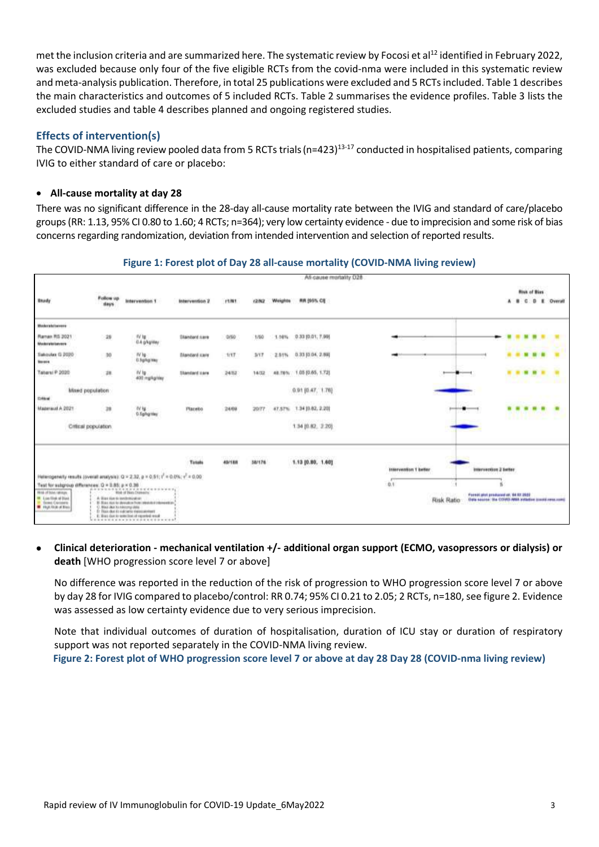met the inclusion criteria and are summarized here. The systematic review by Focosi et al<sup>[12](#page-1-0)</sup> identified in February 2022, was excluded because only four of the five eligible RCTs from the covid-nma were included in this systematic review and meta-analysis publication. Therefore, in total 25 publications were excluded and 5 RCTs included. Table 1 describes the main characteristics and outcomes of 5 included RCTs. Table 2 summarises the evidence profiles. Table 3 lists the excluded studies and table 4 describes planned and ongoing registered studies.

## **Effects of intervention(s)**

The COVID-NMA living review pooled data from 5 RCTs trials (n=423)<sup>13-17</sup> conducted in hospitalised patients, comparing IVIG to either standard of care or placebo:

## **All-cause mortality at day 28**

There was no significant difference in the 28-day all-cause mortality rate between the IVIG and standard of care/placebo groups (RR: 1.13, 95% CI 0.80 to 1.60; 4 RCTs; n=364); very low certainty evidence - due to imprecision and some risk of bias concerns regarding randomization, deviation from intended intervention and selection of reported results.

## **Figure 1: Forest plot of Day 28 all-cause mortality (COVID-NMA living review)**



### **Clinical deterioration - mechanical ventilation +/- additional organ support (ECMO, vasopressors or dialysis) or death** [WHO progression score level 7 or above]

No difference was reported in the reduction of the risk of progression to WHO progression score level 7 or above by day 28 for IVIG compared to placebo/control: RR 0.74; 95% CI 0.21 to 2.05; 2 RCTs, n=180, see figure 2. Evidence was assessed as low certainty evidence due to very serious imprecision.

Note that individual outcomes of duration of hospitalisation, duration of ICU stay or duration of respiratory support was not reported separately in the COVID-NMA living review.

**Figure 2: Forest plot of WHO progression score level 7 or above at day 28 Day 28 (COVID-nma living review)**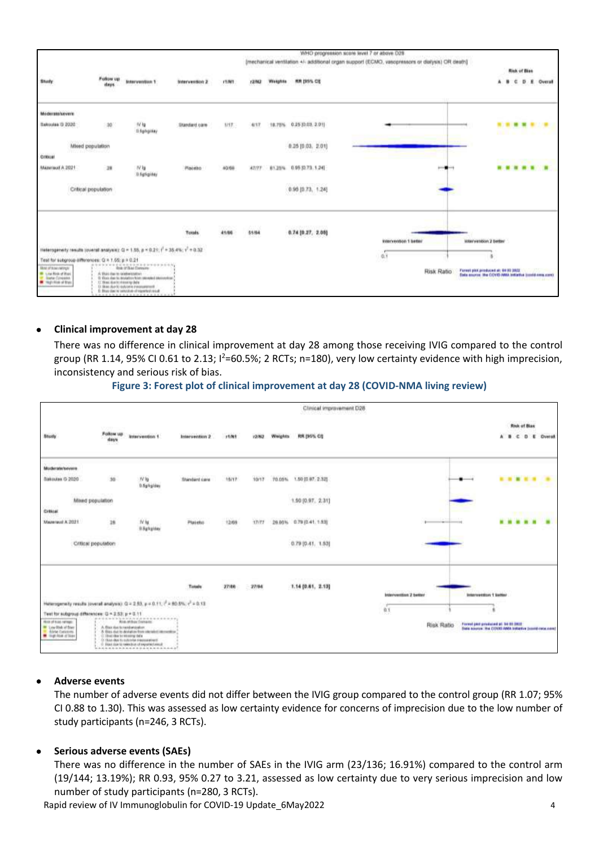

#### **Clinical improvement at day 28**

There was no difference in clinical improvement at day 28 among those receiving IVIG compared to the control group (RR 1.14, 95% CI 0.61 to 2.13;  $l^2$ =60.5%; 2 RCTs; n=180), very low certainty evidence with high imprecision, inconsistency and serious risk of bias.

#### **Figure 3: Forest plot of clinical improvement at day 28 (COVID-NMA living review)**

|                                                                                                                                                      |                                                              |                                                                                                                                                                                                                                          |                      |                     |              |         | Clinical improvement D28<br>1741 TEMPORATUR (PHOTOGRAP |                                     |                                                                                                |
|------------------------------------------------------------------------------------------------------------------------------------------------------|--------------------------------------------------------------|------------------------------------------------------------------------------------------------------------------------------------------------------------------------------------------------------------------------------------------|----------------------|---------------------|--------------|---------|--------------------------------------------------------|-------------------------------------|------------------------------------------------------------------------------------------------|
| <b>Bludy</b>                                                                                                                                         | <b>CONTRACTOR</b><br>Follow up<br>days<br>350                | <b>Intervention 1</b>                                                                                                                                                                                                                    | Intervention 2       | 11/91               | <b>72/N2</b> | Weights | RR DIVI, CO                                            |                                     | Risk of Blax<br>D.<br><b>Dyeral</b><br>÷<br>ж<br>А                                             |
| <b>Muderate's event</b>                                                                                                                              |                                                              |                                                                                                                                                                                                                                          |                      |                     |              |         |                                                        |                                     |                                                                                                |
| Bakoulas G 2020                                                                                                                                      | 30                                                           | $N$ lg<br>0.5g/kg/day<br>938                                                                                                                                                                                                             | <b>Shindard care</b> | <b><i>SECTP</i></b> | 10/17        | 70.05%  | 1.50 00 97, 2.325                                      |                                     |                                                                                                |
|                                                                                                                                                      | Mixed population                                             |                                                                                                                                                                                                                                          |                      |                     |              |         | <b>STRANDROOM</b><br>$1.90$ $[0.97, 2.31]$             |                                     |                                                                                                |
| Cressel                                                                                                                                              |                                                              |                                                                                                                                                                                                                                          |                      |                     |              |         |                                                        |                                     |                                                                                                |
| Mazeraul A 2021                                                                                                                                      | 26                                                           | N/M<br>3.5ghg/dex<br>a o ya                                                                                                                                                                                                              | Plaietus<br>--       | 12/68<br>--         | 17/77        |         | 20.05% 0.79 (0.41.1.53)                                | comment and state of the comment of |                                                                                                |
|                                                                                                                                                      | Critical population                                          |                                                                                                                                                                                                                                          |                      |                     |              |         | $0.79$ [0.41, $7.53$ ]                                 |                                     |                                                                                                |
|                                                                                                                                                      |                                                              |                                                                                                                                                                                                                                          | Tirtals              | 27186               | 27/94        |         | 1.14 (0.61, 2.13)                                      | Intervention 2 better               | Intervention 1 liabled                                                                         |
| Heterogeneity results (overall analysis): Q = 2.53, p = 0.11; ( = 80.5%; c' = 0.13)                                                                  |                                                              |                                                                                                                                                                                                                                          |                      |                     |              |         |                                                        |                                     |                                                                                                |
| Test for subgroup differences: (3 = 2.53; p = 0.11)<br><b>FRIDE OF NIGHT HEFTIGHT</b><br>Low Disk of from<br>۰<br>Airle Catasons<br>R lighted dilect | A Dixx rios to need projection.<br>I That Harbor and company | ************************<br><b>Risk of Elvin Entrance</b><br>A Elda dut in deviation from obstaint interesting<br>C - Thurs allow his contractors in exchange around<br>THAN DUA TO HANGE OF EXPLOTECY HALE<br>************************* |                      |                     |              |         |                                                        | 0.1<br>Risk Ratio                   | Forest part produced at 34 St 2822<br>Bata source: the COVID-NAN bulletive (combines com)<br>. |

#### **Adverse events**

The number of adverse events did not differ between the IVIG group compared to the control group (RR 1.07; 95% CI 0.88 to 1.30). This was assessed as low certainty evidence for concerns of imprecision due to the low number of study participants (n=246, 3 RCTs).

#### **•** Serious adverse events (SAEs)

There was no difference in the number of SAEs in the IVIG arm (23/136; 16.91%) compared to the control arm (19/144; 13.19%); RR 0.93, 95% 0.27 to 3.21, assessed as low certainty due to very serious imprecision and low number of study participants (n=280, 3 RCTs).

Rapid review of IV Immunoglobulin for COVID-19 Update\_6May2022 4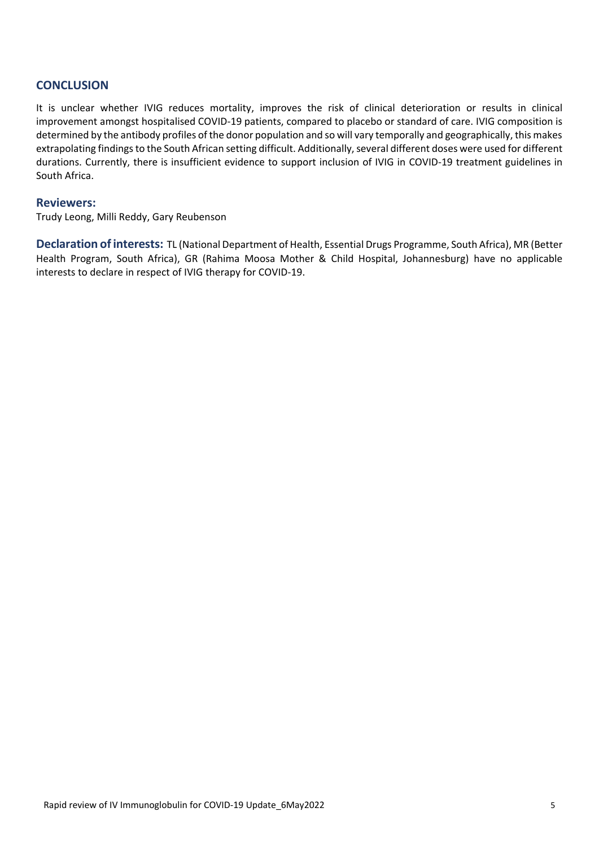## **CONCLUSION**

It is unclear whether IVIG reduces mortality, improves the risk of clinical deterioration or results in clinical improvement amongst hospitalised COVID-19 patients, compared to placebo or standard of care. IVIG composition is determined by the antibody profiles of the donor population and so will vary temporally and geographically, this makes extrapolating findings to the South African setting difficult. Additionally, several different doses were used for different durations. Currently, there is insufficient evidence to support inclusion of IVIG in COVID-19 treatment guidelines in South Africa.

## **Reviewers:**

Trudy Leong, Milli Reddy, Gary Reubenson

**Declaration of interests:** TL (National Department of Health, Essential Drugs Programme, South Africa), MR (Better Health Program, South Africa), GR (Rahima Moosa Mother & Child Hospital, Johannesburg) have no applicable interests to declare in respect of IVIG therapy for COVID-19.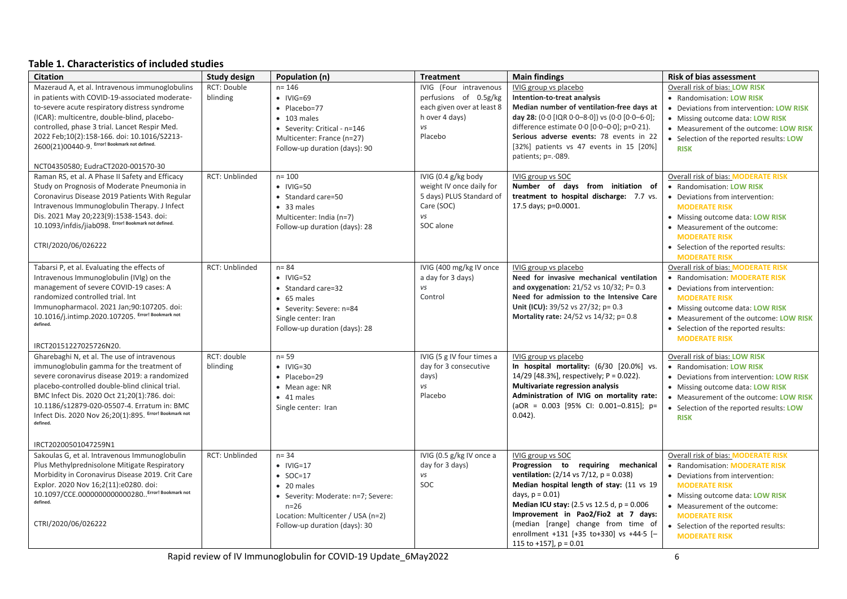## **Table 1. Characteristics of included studies**

| <b>Citation</b>                                                                                 | <b>Study design</b> | Population (n)                     | <b>Treatment</b>           | <b>Main findings</b>                                                                     | <b>Risk of bias assessment</b>           |
|-------------------------------------------------------------------------------------------------|---------------------|------------------------------------|----------------------------|------------------------------------------------------------------------------------------|------------------------------------------|
| Mazeraud A, et al. Intravenous immunoglobulins                                                  | RCT: Double         | $n = 146$                          | IVIG (Four intravenous     | IVIG group vs placebo                                                                    | Overall risk of bias: LOW RISK           |
| in patients with COVID-19-associated moderate-                                                  | blinding            | $\bullet$ IVIG=69                  | perfusions of 0.5g/kg      | Intention-to-treat analysis                                                              | • Randomisation: LOW RISK                |
| to-severe acute respiratory distress syndrome                                                   |                     | • Placebo=77                       | each given over at least 8 | Median number of ventilation-free days at                                                | • Deviations from intervention: LOW RISK |
| (ICAR): multicentre, double-blind, placebo-                                                     |                     | $\bullet$ 103 males                | h over 4 days)             | day 28: $(0.0$ [IQR $0.0 - 8.0$ ]) vs $(0.0$ [0.0-6.0];                                  | • Missing outcome data: LOW RISK         |
| controlled, phase 3 trial. Lancet Respir Med.                                                   |                     | • Severity: Critical - n=146       | vs                         | difference estimate $0.0$ $[0.0-0.0]$ ; $p=0.21$ ).                                      | • Measurement of the outcome: LOW RISK   |
| 2022 Feb;10(2):158-166. doi: 10.1016/S2213-                                                     |                     | Multicenter: France (n=27)         | Placebo                    | Serious adverse events: 78 events in 22                                                  | • Selection of the reported results: LOW |
| 2600(21)00440-9. Error! Bookmark not defined.                                                   |                     | Follow-up duration (days): 90      |                            | [32%] patients vs 47 events in 15 [20%]                                                  | <b>RISK</b>                              |
|                                                                                                 |                     |                                    |                            | patients; p=. 089.                                                                       |                                          |
| NCT04350580; EudraCT2020-001570-30                                                              |                     |                                    |                            |                                                                                          |                                          |
| Raman RS, et al. A Phase II Safety and Efficacy                                                 | RCT: Unblinded      | $n = 100$                          | IVIG (0.4 g/kg body        | IVIG group vs SOC                                                                        | Overall risk of bias: MODERATE RISK      |
| Study on Prognosis of Moderate Pneumonia in                                                     |                     | $\bullet$ IVIG=50                  | weight IV once daily for   | Number of days from initiation of                                                        | • Randomisation: LOW RISK                |
| Coronavirus Disease 2019 Patients With Regular                                                  |                     | • Standard care=50                 | 5 days) PLUS Standard of   | treatment to hospital discharge: 7.7 vs.                                                 | • Deviations from intervention:          |
| Intravenous Immunoglobulin Therapy. J Infect                                                    |                     | • 33 males                         | Care (SOC)<br>vs           | 17.5 days; p=0.0001.                                                                     | <b>MODERATE RISK</b>                     |
| Dis. 2021 May 20;223(9):1538-1543. doi:<br>10.1093/infdis/jiab098. Error! Bookmark not defined. |                     | Multicenter: India (n=7)           | SOC alone                  |                                                                                          | • Missing outcome data: LOW RISK         |
|                                                                                                 |                     | Follow-up duration (days): 28      |                            |                                                                                          | • Measurement of the outcome:            |
| CTRI/2020/06/026222                                                                             |                     |                                    |                            |                                                                                          | <b>MODERATE RISK</b>                     |
|                                                                                                 |                     |                                    |                            |                                                                                          | • Selection of the reported results:     |
|                                                                                                 |                     |                                    |                            |                                                                                          | <b>MODERATE RISK</b>                     |
| Tabarsi P, et al. Evaluating the effects of                                                     | RCT: Unblinded      | $n = 84$                           | IVIG (400 mg/kg IV once    | IVIG group vs placebo                                                                    | Overall risk of bias: MODERATE RISK      |
| Intravenous Immunoglobulin (IVIg) on the                                                        |                     | $\bullet$ IVIG=52                  | a day for 3 days)          | Need for invasive mechanical ventilation                                                 | • Randomisation: MODERATE RISK           |
| management of severe COVID-19 cases: A<br>randomized controlled trial. Int                      |                     | • Standard care=32                 | vs<br>Control              | and oxygenation: $21/52$ vs $10/32$ ; P= 0.3<br>Need for admission to the Intensive Care | • Deviations from intervention:          |
| Immunopharmacol. 2021 Jan;90:107205. doi:                                                       |                     | • 65 males                         |                            | Unit (ICU): 39/52 vs 27/32; p= 0.3                                                       | <b>MODERATE RISK</b>                     |
| 10.1016/j.intimp.2020.107205. Error! Bookmark not                                               |                     | • Severity: Severe: n=84           |                            | Mortality rate: 24/52 vs 14/32; p= 0.8                                                   | • Missing outcome data: LOW RISK         |
| defined.                                                                                        |                     | Single center: Iran                |                            |                                                                                          | • Measurement of the outcome: LOW RISK   |
|                                                                                                 |                     | Follow-up duration (days): 28      |                            |                                                                                          | • Selection of the reported results:     |
| IRCT20151227025726N20.                                                                          |                     |                                    |                            |                                                                                          | <b>MODERATE RISK</b>                     |
| Gharebaghi N, et al. The use of intravenous                                                     | RCT: double         | $n = 59$                           | IVIG (5 g IV four times a  | IVIG group vs placebo                                                                    | Overall risk of bias: LOW RISK           |
| immunoglobulin gamma for the treatment of                                                       | blinding            | $\bullet$ IVIG=30                  | day for 3 consecutive      | In hospital mortality: (6/30 [20.0%] vs.                                                 | • Randomisation: LOW RISK                |
| severe coronavirus disease 2019: a randomized                                                   |                     | • Placebo=29                       | days)                      | 14/29 [48.3%], respectively; P = 0.022).                                                 | • Deviations from intervention: LOW RISK |
| placebo-controlled double-blind clinical trial.                                                 |                     | • Mean age: NR                     | vs                         | Multivariate regression analysis                                                         | • Missing outcome data: LOW RISK         |
| BMC Infect Dis. 2020 Oct 21;20(1):786. doi:                                                     |                     | • 41 males                         | Placebo                    | Administration of IVIG on mortality rate:                                                | • Measurement of the outcome: LOW RISK   |
| 10.1186/s12879-020-05507-4. Erratum in: BMC                                                     |                     | Single center: Iran                |                            | (aOR = $0.003$ [95% CI: 0.001-0.815]; p=                                                 | • Selection of the reported results: LOW |
| Infect Dis. 2020 Nov 26;20(1):895. Error! Bookmark not                                          |                     |                                    |                            | $0.042$ ).                                                                               | <b>RISK</b>                              |
| defined.                                                                                        |                     |                                    |                            |                                                                                          |                                          |
|                                                                                                 |                     |                                    |                            |                                                                                          |                                          |
| IRCT20200501047259N1                                                                            |                     |                                    |                            |                                                                                          |                                          |
| Sakoulas G, et al. Intravenous Immunoglobulin                                                   | RCT: Unblinded      | $n = 34$                           | IVIG (0.5 g/kg IV once a   | IVIG group vs SOC                                                                        | Overall risk of bias: MODERATE RISK      |
| Plus Methylprednisolone Mitigate Respiratory                                                    |                     | $\bullet$ IVIG=17                  | day for 3 days)            | Progression to requiring mechanical                                                      | • Randomisation: <b>MODERATE RISK</b>    |
| Morbidity in Coronavirus Disease 2019. Crit Care                                                |                     | $\bullet$ SOC=17                   | vs                         | <b>ventilation:</b> $(2/14 \text{ vs } 7/12, \text{ p} = 0.038)$                         | • Deviations from intervention:          |
| Explor. 2020 Nov 16;2(11):e0280. doi:                                                           |                     | • 20 males                         | SOC                        | Median hospital length of stay: (11 vs 19                                                | <b>MODERATE RISK</b>                     |
| 10.1097/CCE.0000000000000280 Error! Bookmark not<br>defined.                                    |                     | • Severity: Moderate: n=7; Severe: |                            | days, $p = 0.01$                                                                         | • Missing outcome data: LOW RISK         |
|                                                                                                 |                     | $n=26$                             |                            | <b>Median ICU stay:</b> (2.5 vs 12.5 d, $p = 0.006$                                      | • Measurement of the outcome:            |
|                                                                                                 |                     | Location: Multicenter / USA (n=2)  |                            | Improvement in Pao2/Fio2 at 7 days:                                                      | <b>MODERATE RISK</b>                     |
| CTRI/2020/06/026222                                                                             |                     | Follow-up duration (days): 30      |                            | (median [range] change from time of                                                      | • Selection of the reported results:     |
|                                                                                                 |                     |                                    |                            | enrollment +131 [+35 to+330] vs +44.5 [-                                                 | <b>MODERATE RISK</b>                     |
|                                                                                                 |                     |                                    |                            | 115 to +157], $p = 0.01$                                                                 |                                          |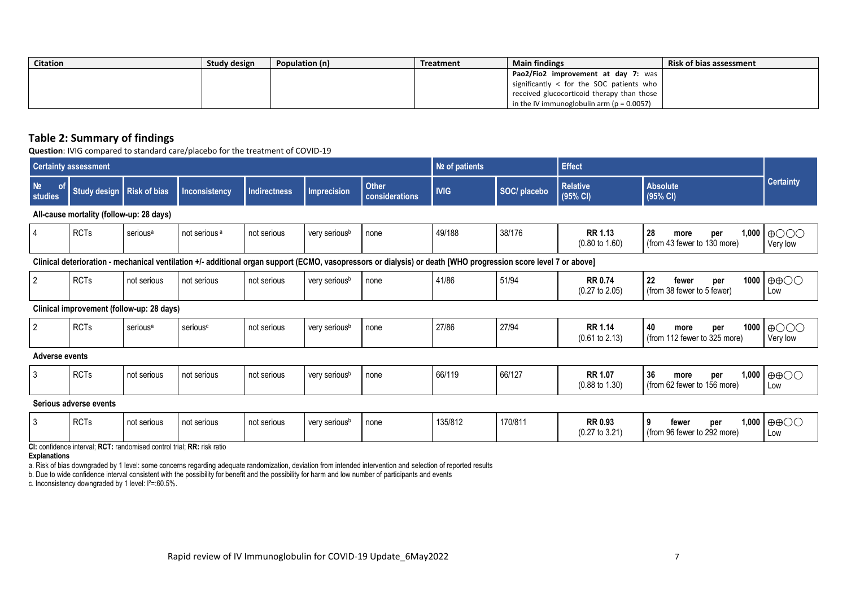| <b>Citation</b> | Study design | Population (n) | Treatment | <b>Main findings</b>                          | <b>Risk of bias assessment</b> |
|-----------------|--------------|----------------|-----------|-----------------------------------------------|--------------------------------|
|                 |              |                |           | Pao2/Fio2 improvement at day 7: was           |                                |
|                 |              |                |           | significantly < for the SOC patients who      |                                |
|                 |              |                |           | received glucocorticoid therapy than those    |                                |
|                 |              |                |           | in the IV immunoglobulin arm ( $p = 0.0057$ ) |                                |

## **Table 2: Summary of findings**

**Question**: IVIG compared to standard care/placebo for the treatment of COVID-19

|                                        | <b>Certainty assessment</b>                                                                                                                                     |                                           |                          |                     |                           |                                | Nº of patients |              | <b>Effect</b>                               |                                                           |                                           |
|----------------------------------------|-----------------------------------------------------------------------------------------------------------------------------------------------------------------|-------------------------------------------|--------------------------|---------------------|---------------------------|--------------------------------|----------------|--------------|---------------------------------------------|-----------------------------------------------------------|-------------------------------------------|
| N <sub>2</sub><br><b>of</b><br>studies | Study design                                                                                                                                                    | <b>Risk of bias</b>                       | Inconsistency            | <b>Indirectness</b> | <b>Imprecision</b>        | <b>Other</b><br>considerations | <b>IVIG</b>    | SOC/ placebo | <b>Relative</b><br>(95% CI)                 | <b>Absolute</b><br>(95% CI)                               | <b>Certainty</b>                          |
|                                        | All-cause mortality (follow-up: 28 days)                                                                                                                        |                                           |                          |                     |                           |                                |                |              |                                             |                                                           |                                           |
| 4                                      | <b>RCTs</b>                                                                                                                                                     | serious <sup>a</sup>                      | not serious <sup>a</sup> | not serious         | very serious <sup>b</sup> | none                           | 49/188         | 38/176       | <b>RR 1.13</b><br>$(0.80 \text{ to } 1.60)$ | 28<br>1,000<br>per<br>more<br>(from 43 fewer to 130 more) | $\bigoplus$ OOO<br>Very low               |
|                                        | Clinical deterioration - mechanical ventilation +/- additional organ support (ECMO, vasopressors or dialysis) or death [WHO progression score level 7 or above] |                                           |                          |                     |                           |                                |                |              |                                             |                                                           |                                           |
| $\overline{2}$                         | <b>RCTs</b>                                                                                                                                                     | not serious                               | not serious              | not serious         | very serious <sup>b</sup> | none                           | 41/86          | 51/94        | <b>RR 0.74</b><br>$(0.27 \text{ to } 2.05)$ | 22<br>1000<br>fewer<br>per<br>(from 38 fewer to 5 fewer)  | $\oplus$ $\oplus$<br>Low                  |
|                                        |                                                                                                                                                                 | Clinical improvement (follow-up: 28 days) |                          |                     |                           |                                |                |              |                                             |                                                           |                                           |
| $\overline{2}$                         | <b>RCTs</b>                                                                                                                                                     | serious <sup>a</sup>                      | serious <sup>c</sup>     | not serious         | very serious <sup>b</sup> | none                           | 27/86          | 27/94        | <b>RR 1.14</b><br>$(0.61 \text{ to } 2.13)$ | 40<br>1000<br>per<br>more<br>(from 112 fewer to 325 more) | $\bigoplus$ OOO<br>Very low               |
| <b>Adverse events</b>                  |                                                                                                                                                                 |                                           |                          |                     |                           |                                |                |              |                                             |                                                           |                                           |
| 3                                      | <b>RCTs</b>                                                                                                                                                     | not serious                               | not serious              | not serious         | very serious <sup>b</sup> | none                           | 66/119         | 66/127       | <b>RR 1.07</b><br>$(0.88 \text{ to } 1.30)$ | 36<br>1,000<br>per<br>more<br>(from 62 fewer to 156 more) | $\oplus$ $\oplus$ $\odot$<br>Low          |
|                                        | Serious adverse events                                                                                                                                          |                                           |                          |                     |                           |                                |                |              |                                             |                                                           |                                           |
| -3                                     | <b>RCTs</b>                                                                                                                                                     | not serious                               | not serious              | not serious         | very serious <sup>b</sup> | none                           | 135/812        | 170/811      | RR 0.93                                     | 9<br>fewer<br>per                                         | $1,000$ $\oplus$ $\oplus$ $\odot$ $\odot$ |

**CI:** confidence interval; **RCT:** randomised control trial; **RR:** risk ratio

#### **Explanations**

a. Risk of bias downgraded by 1 level: some concerns regarding adequate randomization, deviation from intended intervention and selection of reported results

b. Due to wide confidence interval consistent with the possibility for benefit and the possibility for harm and low number of participants and events

c. Inconsistency downgraded by 1 level: I<sup>2</sup>=:60.5%.

(from 96 fewer to 292 more)

Low

(0.27 to 3.21)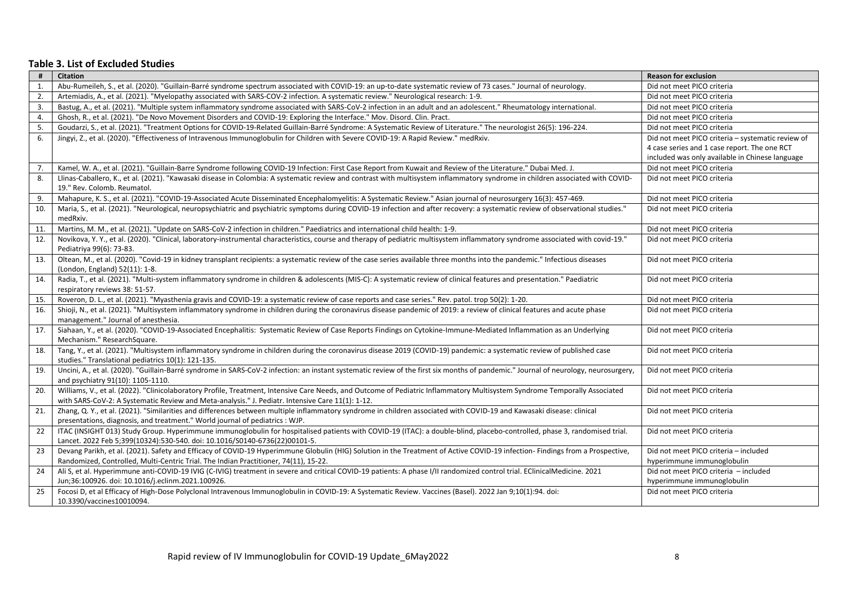#### **Table 3. List of Excluded Studies**

| #   | <b>Citation</b>                                                                                                                                                                                                 | <b>Reason for exclusion</b>                       |
|-----|-----------------------------------------------------------------------------------------------------------------------------------------------------------------------------------------------------------------|---------------------------------------------------|
| 1.  | Abu-Rumeileh, S., et al. (2020). "Guillain-Barré syndrome spectrum associated with COVID-19: an up-to-date systematic review of 73 cases." Journal of neurology.                                                | Did not meet PICO criteria                        |
| 2.  | Artemiadis, A., et al. (2021). "Myelopathy associated with SARS-COV-2 infection. A systematic review." Neurological research: 1-9.                                                                              | Did not meet PICO criteria                        |
| 3.  | Bastug, A., et al. (2021). "Multiple system inflammatory syndrome associated with SARS-CoV-2 infection in an adult and an adolescent." Rheumatology international.                                              | Did not meet PICO criteria                        |
| 4.  | Ghosh, R., et al. (2021). "De Novo Movement Disorders and COVID-19: Exploring the Interface." Mov. Disord. Clin. Pract.                                                                                         | Did not meet PICO criteria                        |
| 5.  | Goudarzi, S., et al. (2021). "Treatment Options for COVID-19-Related Guillain-Barré Syndrome: A Systematic Review of Literature." The neurologist 26(5): 196-224.                                               | Did not meet PICO criteria                        |
| 6.  | Jingyi, Z., et al. (2020). "Effectiveness of Intravenous Immunoglobulin for Children with Severe COVID-19: A Rapid Review." medRxiv.                                                                            | Did not meet PICO criteria - systematic review of |
|     |                                                                                                                                                                                                                 | 4 case series and 1 case report. The one RCT      |
|     |                                                                                                                                                                                                                 | included was only available in Chinese language   |
| 7.  | Kamel, W. A., et al. (2021). "Guillain-Barre Syndrome following COVID-19 Infection: First Case Report from Kuwait and Review of the Literature." Dubai Med. J.                                                  | Did not meet PICO criteria                        |
| 8.  | Llinas-Caballero, K., et al. (2021). "Kawasaki disease in Colombia: A systematic review and contrast with multisystem inflammatory syndrome in children associated with COVID-                                  | Did not meet PICO criteria                        |
|     | 19." Rev. Colomb. Reumatol.                                                                                                                                                                                     |                                                   |
| 9.  | Mahapure, K. S., et al. (2021). "COVID-19-Associated Acute Disseminated Encephalomyelitis: A Systematic Review." Asian journal of neurosurgery 16(3): 457-469.                                                  | Did not meet PICO criteria                        |
| 10. | Maria, S., et al. (2021). "Neurological, neuropsychiatric and psychiatric symptoms during COVID-19 infection and after recovery: a systematic review of observational studies."                                 | Did not meet PICO criteria                        |
|     | medRxiv.                                                                                                                                                                                                        |                                                   |
| 11. | Martins, M. M., et al. (2021). "Update on SARS-CoV-2 infection in children." Paediatrics and international child health: 1-9.                                                                                   | Did not meet PICO criteria                        |
| 12. | Novikova, Y. Y., et al. (2020). "Clinical, laboratory-instrumental characteristics, course and therapy of pediatric multisystem inflammatory syndrome associated with covid-19."                                | Did not meet PICO criteria                        |
|     | Pediatriya 99(6): 73-83.                                                                                                                                                                                        |                                                   |
| 13. | Oltean, M., et al. (2020). "Covid-19 in kidney transplant recipients: a systematic review of the case series available three months into the pandemic." Infectious diseases                                     | Did not meet PICO criteria                        |
|     | (London, England) 52(11): 1-8.                                                                                                                                                                                  |                                                   |
| 14. | Radia, T., et al. (2021). "Multi-system inflammatory syndrome in children & adolescents (MIS-C): A systematic review of clinical features and presentation." Paediatric                                         | Did not meet PICO criteria                        |
|     | respiratory reviews 38: 51-57.                                                                                                                                                                                  |                                                   |
| 15. | Roveron, D. L., et al. (2021). "Myasthenia gravis and COVID-19: a systematic review of case reports and case series." Rev. patol. trop 50(2): 1-20.                                                             | Did not meet PICO criteria                        |
| 16. | Shioji, N., et al. (2021). "Multisystem inflammatory syndrome in children during the coronavirus disease pandemic of 2019: a review of clinical features and acute phase                                        | Did not meet PICO criteria                        |
|     | management." Journal of anesthesia.                                                                                                                                                                             |                                                   |
| 17. | Siahaan, Y., et al. (2020). "COVID-19-Associated Encephalitis: Systematic Review of Case Reports Findings on Cytokine-Immune-Mediated Inflammation as an Underlying                                             | Did not meet PICO criteria                        |
|     | Mechanism." ResearchSquare.                                                                                                                                                                                     |                                                   |
| 18. | Tang, Y., et al. (2021). "Multisystem inflammatory syndrome in children during the coronavirus disease 2019 (COVID-19) pandemic: a systematic review of published case                                          | Did not meet PICO criteria                        |
|     | studies." Translational pediatrics 10(1): 121-135.                                                                                                                                                              |                                                   |
| 19. | Uncini, A., et al. (2020). "Guillain-Barré syndrome in SARS-CoV-2 infection: an instant systematic review of the first six months of pandemic." Journal of neurology, neurosurgery,                             | Did not meet PICO criteria                        |
|     | and psychiatry 91(10): 1105-1110.<br>Williams, V., et al. (2022). "Clinicolaboratory Profile, Treatment, Intensive Care Needs, and Outcome of Pediatric Inflammatory Multisystem Syndrome Temporally Associated |                                                   |
| 20. | with SARS-CoV-2: A Systematic Review and Meta-analysis." J. Pediatr. Intensive Care 11(1): 1-12.                                                                                                                | Did not meet PICO criteria                        |
| 21. | Zhang, Q. Y., et al. (2021). "Similarities and differences between multiple inflammatory syndrome in children associated with COVID-19 and Kawasaki disease: clinical                                           | Did not meet PICO criteria                        |
|     | presentations, diagnosis, and treatment." World journal of pediatrics : WJP.                                                                                                                                    |                                                   |
| 22  | ITAC (INSIGHT 013) Study Group. Hyperimmune immunoglobulin for hospitalised patients with COVID-19 (ITAC): a double-blind, placebo-controlled, phase 3, randomised trial.                                       | Did not meet PICO criteria                        |
|     | Lancet. 2022 Feb 5;399(10324):530-540. doi: 10.1016/S0140-6736(22)00101-5.                                                                                                                                      |                                                   |
| 23  | Devang Parikh, et al. (2021). Safety and Efficacy of COVID-19 Hyperimmune Globulin (HIG) Solution in the Treatment of Active COVID-19 infection- Findings from a Prospective,                                   | Did not meet PICO criteria - included             |
|     | Randomized, Controlled, Multi-Centric Trial. The Indian Practitioner, 74(11), 15-22.                                                                                                                            | hyperimmune immunoglobulin                        |
| 24  | Ali S, et al. Hyperimmune anti-COVID-19 IVIG (C-IVIG) treatment in severe and critical COVID-19 patients: A phase I/II randomized control trial. EClinicalMedicine. 2021                                        | Did not meet PICO criteria - included             |
|     | Jun;36:100926. doi: 10.1016/j.eclinm.2021.100926.                                                                                                                                                               | hyperimmune immunoglobulin                        |
| 25  | Focosi D, et al Efficacy of High-Dose Polyclonal Intravenous Immunoglobulin in COVID-19: A Systematic Review. Vaccines (Basel). 2022 Jan 9;10(1):94. doi:                                                       | Did not meet PICO criteria                        |
|     | 10.3390/vaccines10010094.                                                                                                                                                                                       |                                                   |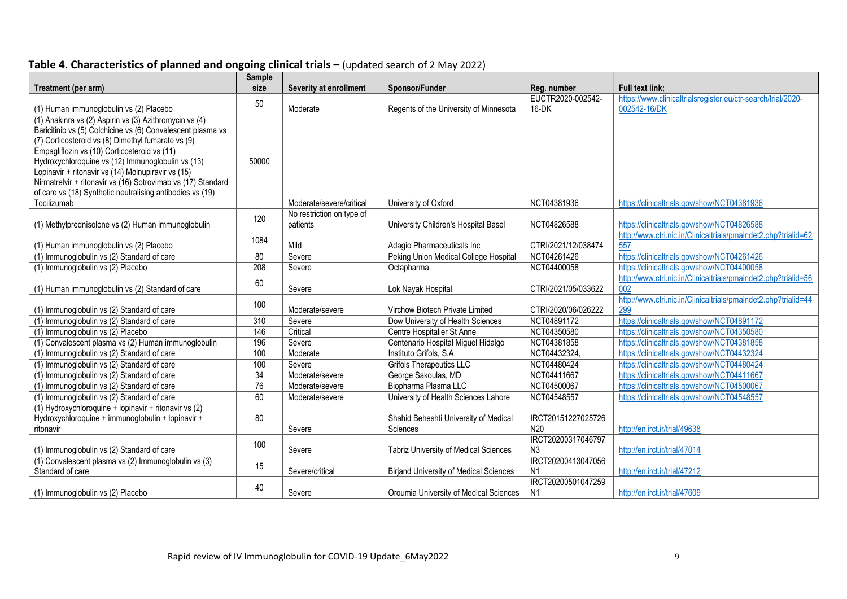# **Table 4. Characteristics of planned and ongoing clinical trials –** (updated search of 2 May 2022)

| Treatment (per arm)                                                                      | <b>Sample</b><br>size | Severity at enrollment    | Sponsor/Funder                                                       | Reg. number         | Full text link;                                                       |
|------------------------------------------------------------------------------------------|-----------------------|---------------------------|----------------------------------------------------------------------|---------------------|-----------------------------------------------------------------------|
|                                                                                          |                       |                           |                                                                      | EUCTR2020-002542-   | https://www.clinicaltrialsregister.eu/ctr-search/trial/2020-          |
| (1) Human immunoglobulin vs (2) Placebo                                                  | 50                    | Moderate                  | Regents of the University of Minnesota                               | 16-DK               | 002542-16/DK                                                          |
| (1) Anakinra vs (2) Aspirin vs (3) Azithromycin vs (4)                                   |                       |                           |                                                                      |                     |                                                                       |
| Baricitinib vs (5) Colchicine vs (6) Convalescent plasma vs                              |                       |                           |                                                                      |                     |                                                                       |
| (7) Corticosteroid vs (8) Dimethyl fumarate vs (9)                                       |                       |                           |                                                                      |                     |                                                                       |
| Empagliflozin vs (10) Corticosteroid vs (11)                                             |                       |                           |                                                                      |                     |                                                                       |
| Hydroxychloroquine vs (12) Immunoglobulin vs (13)                                        | 50000                 |                           |                                                                      |                     |                                                                       |
| Lopinavir + ritonavir vs (14) Molnupiravir vs (15)                                       |                       |                           |                                                                      |                     |                                                                       |
| Nirmatrelvir + ritonavir vs (16) Sotrovimab vs (17) Standard                             |                       |                           |                                                                      |                     |                                                                       |
| of care vs (18) Synthetic neutralising antibodies vs (19)                                |                       |                           |                                                                      |                     |                                                                       |
| Tocilizumab                                                                              |                       | Moderate/severe/critical  | University of Oxford                                                 | NCT04381936         | https://clinicaltrials.gov/show/NCT04381936                           |
|                                                                                          | 120                   | No restriction on type of |                                                                      |                     |                                                                       |
| (1) Methylprednisolone vs (2) Human immunoglobulin                                       |                       | patients                  | University Children's Hospital Basel                                 | NCT04826588         | https://clinicaltrials.gov/show/NCT04826588                           |
|                                                                                          | 1084                  |                           |                                                                      |                     | http://www.ctri.nic.in/Clinicaltrials/pmaindet2.php?trialid=62        |
| (1) Human immunoglobulin vs (2) Placebo                                                  |                       | Mild                      | Adagio Pharmaceuticals Inc                                           | CTRI/2021/12/038474 | 557                                                                   |
| (1) Immunoglobulin vs (2) Standard of care                                               | 80                    | Severe                    | Peking Union Medical College Hospital                                | NCT04261426         | https://clinicaltrials.gov/show/NCT04261426                           |
| (1) Immunoglobulin vs (2) Placebo                                                        | $\overline{208}$      | Severe                    | Octapharma                                                           | NCT04400058         | https://clinicaltrials.gov/show/NCT04400058                           |
|                                                                                          | 60                    |                           |                                                                      |                     | http://www.ctri.nic.in/Clinicaltrials/pmaindet2.php?trialid=56        |
| (1) Human immunoglobulin vs (2) Standard of care                                         |                       | Severe                    | Lok Nayak Hospital                                                   | CTRI/2021/05/033622 | 002                                                                   |
|                                                                                          | 100                   | Moderate/severe           |                                                                      | CTRI/2020/06/026222 | http://www.ctri.nic.in/Clinicaltrials/pmaindet2.php?trialid=44<br>299 |
| (1) Immunoglobulin vs (2) Standard of care<br>(1) Immunoglobulin vs (2) Standard of care | $\overline{310}$      | Severe                    | Virchow Biotech Private Limited<br>Dow University of Health Sciences | NCT04891172         | https://clinicaltrials.gov/show/NCT04891172                           |
| (1) Immunoglobulin vs (2) Placebo                                                        | 146                   | Critical                  | Centre Hospitalier St Anne                                           | NCT04350580         | https://clinicaltrials.gov/show/NCT04350580                           |
| (1) Convalescent plasma vs (2) Human immunoglobulin                                      | 196                   | Severe                    | Centenario Hospital Miguel Hidalgo                                   | NCT04381858         | https://clinicaltrials.gov/show/NCT04381858                           |
| (1) Immunoglobulin vs (2) Standard of care                                               | 100                   | Moderate                  | Instituto Grifols, S.A.                                              | NCT04432324,        | https://clinicaltrials.gov/show/NCT04432324                           |
| (1) Immunoglobulin vs (2) Standard of care                                               | 100                   | Severe                    | <b>Grifols Therapeutics LLC</b>                                      | NCT04480424         | https://clinicaltrials.gov/show/NCT04480424                           |
| (1) Immunoglobulin vs (2) Standard of care                                               | $\overline{34}$       | Moderate/severe           | George Sakoulas, MD                                                  | NCT04411667         | https://clinicaltrials.gov/show/NCT04411667                           |
| (1) Immunoglobulin vs (2) Standard of care                                               | $\overline{76}$       | Moderate/severe           | Biopharma Plasma LLC                                                 | NCT04500067         | https://clinicaltrials.gov/show/NCT04500067                           |
| (1) Immunoglobulin vs (2) Standard of care                                               | 60                    | Moderate/severe           | University of Health Sciences Lahore                                 | NCT04548557         | https://clinicaltrials.gov/show/NCT04548557                           |
| (1) Hydroxychloroquine + lopinavir + ritonavir vs (2)                                    |                       |                           |                                                                      |                     |                                                                       |
| Hydroxychloroquine + immunoglobulin + lopinavir +                                        | 80                    |                           | Shahid Beheshti University of Medical                                | IRCT20151227025726  |                                                                       |
| ritonavir                                                                                |                       | Severe                    | Sciences                                                             | N <sub>20</sub>     | http://en.irct.ir/trial/49638                                         |
|                                                                                          |                       |                           |                                                                      | IRCT20200317046797  |                                                                       |
| (1) Immunoglobulin vs (2) Standard of care                                               | 100                   | Severe                    | <b>Tabriz University of Medical Sciences</b>                         | N <sub>3</sub>      | http://en.irct.ir/trial/47014                                         |
| (1) Convalescent plasma vs (2) Immunoglobulin vs (3)                                     |                       |                           |                                                                      | IRCT20200413047056  |                                                                       |
| Standard of care                                                                         | 15                    | Severe/critical           | <b>Birjand University of Medical Sciences</b>                        | N <sub>1</sub>      | http://en.irct.ir/trial/47212                                         |
|                                                                                          | 40                    |                           |                                                                      | IRCT20200501047259  |                                                                       |
| (1) Immunoglobulin vs (2) Placebo                                                        |                       | Severe                    | Oroumia University of Medical Sciences                               | N <sub>1</sub>      | http://en.irct.ir/trial/47609                                         |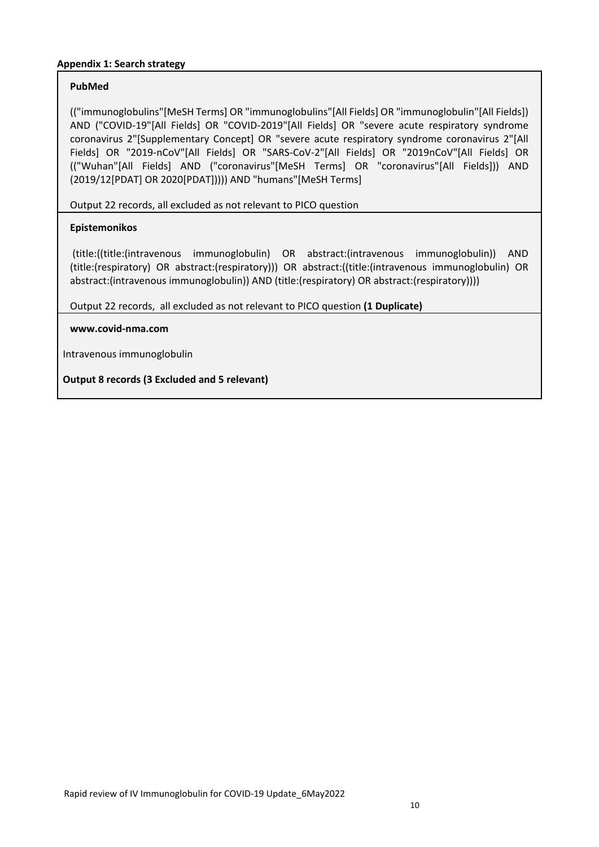## **Appendix 1: Search strategy**

## **PubMed**

(("immunoglobulins"[MeSH Terms] OR "immunoglobulins"[All Fields] OR "immunoglobulin"[All Fields]) AND ("COVID-19"[All Fields] OR "COVID-2019"[All Fields] OR "severe acute respiratory syndrome coronavirus 2"[Supplementary Concept] OR "severe acute respiratory syndrome coronavirus 2"[All Fields] OR "2019-nCoV"[All Fields] OR "SARS-CoV-2"[All Fields] OR "2019nCoV"[All Fields] OR (("Wuhan"[All Fields] AND ("coronavirus"[MeSH Terms] OR "coronavirus"[All Fields])) AND (2019/12[PDAT] OR 2020[PDAT])))) AND "humans"[MeSH Terms]

Output 22 records, all excluded as not relevant to PICO question

## **Epistemonikos**

(title:((title:(intravenous immunoglobulin) OR abstract:(intravenous immunoglobulin)) AND (title:(respiratory) OR abstract:(respiratory))) OR abstract:((title:(intravenous immunoglobulin) OR abstract:(intravenous immunoglobulin)) AND (title:(respiratory) OR abstract:(respiratory))))

Output 22 records, all excluded as not relevant to PICO question **(1 Duplicate)**

#### **[www.covid-nma.com](http://www.covid-nma.com/)**

Intravenous immunoglobulin

**Output 8 records (3 Excluded and 5 relevant)**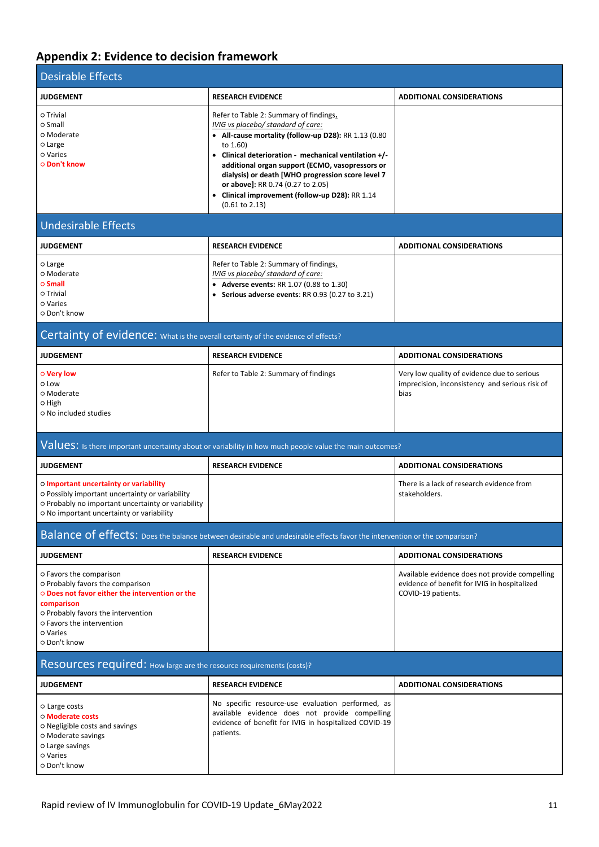# **Appendix 2: Evidence to decision framework**

| <b>Desirable Effects</b>                                                                                                                                                                                                    |                                                                                                                                                                                                                                                                                                                                                                                                                                        |                                                                                                                      |  |  |  |  |
|-----------------------------------------------------------------------------------------------------------------------------------------------------------------------------------------------------------------------------|----------------------------------------------------------------------------------------------------------------------------------------------------------------------------------------------------------------------------------------------------------------------------------------------------------------------------------------------------------------------------------------------------------------------------------------|----------------------------------------------------------------------------------------------------------------------|--|--|--|--|
| <b>JUDGEMENT</b>                                                                                                                                                                                                            | <b>RESEARCH EVIDENCE</b>                                                                                                                                                                                                                                                                                                                                                                                                               | <b>ADDITIONAL CONSIDERATIONS</b>                                                                                     |  |  |  |  |
| o Trivial<br>o Small<br>o Moderate<br>o Large<br>o Varies<br>○ Don't know                                                                                                                                                   | Refer to Table 2: Summary of findings.<br>IVIG vs placebo/ standard of care:<br>• All-cause mortality (follow-up D28): RR 1.13 (0.80<br>to 1.60)<br>• Clinical deterioration - mechanical ventilation +/-<br>additional organ support (ECMO, vasopressors or<br>dialysis) or death [WHO progression score level 7<br>or above]: RR 0.74 (0.27 to 2.05)<br>• Clinical improvement (follow-up D28): RR 1.14<br>$(0.61 \text{ to } 2.13)$ |                                                                                                                      |  |  |  |  |
| <b>Undesirable Effects</b>                                                                                                                                                                                                  |                                                                                                                                                                                                                                                                                                                                                                                                                                        |                                                                                                                      |  |  |  |  |
| <b>JUDGEMENT</b>                                                                                                                                                                                                            | <b>RESEARCH EVIDENCE</b>                                                                                                                                                                                                                                                                                                                                                                                                               | <b>ADDITIONAL CONSIDERATIONS</b>                                                                                     |  |  |  |  |
| o Large<br>o Moderate<br>$\circ$ Small<br>o Trivial<br>o Varies<br>o Don't know                                                                                                                                             | Refer to Table 2: Summary of findings.<br>IVIG vs placebo/ standard of care:<br>• Adverse events: RR 1.07 (0.88 to 1.30)<br>• Serious adverse events: RR 0.93 (0.27 to 3.21)                                                                                                                                                                                                                                                           |                                                                                                                      |  |  |  |  |
| Certainty of evidence: What is the overall certainty of the evidence of effects?                                                                                                                                            |                                                                                                                                                                                                                                                                                                                                                                                                                                        |                                                                                                                      |  |  |  |  |
| <b>JUDGEMENT</b>                                                                                                                                                                                                            | <b>RESEARCH EVIDENCE</b>                                                                                                                                                                                                                                                                                                                                                                                                               | <b>ADDITIONAL CONSIDERATIONS</b>                                                                                     |  |  |  |  |
| o Very low<br>o Low<br>o Moderate<br>O High<br>o No included studies                                                                                                                                                        | Refer to Table 2: Summary of findings                                                                                                                                                                                                                                                                                                                                                                                                  | Very low quality of evidence due to serious<br>imprecision, inconsistency and serious risk of<br>bias                |  |  |  |  |
|                                                                                                                                                                                                                             | Values: Is there important uncertainty about or variability in how much people value the main outcomes?                                                                                                                                                                                                                                                                                                                                |                                                                                                                      |  |  |  |  |
| <b>JUDGEMENT</b>                                                                                                                                                                                                            | <b>RESEARCH EVIDENCE</b>                                                                                                                                                                                                                                                                                                                                                                                                               | <b>ADDITIONAL CONSIDERATIONS</b>                                                                                     |  |  |  |  |
| o Important uncertainty or variability<br>o Possibly important uncertainty or variability<br>o Probably no important uncertainty or variability<br>o No important uncertainty or variability                                |                                                                                                                                                                                                                                                                                                                                                                                                                                        | There is a lack of research evidence from<br>stakeholders.                                                           |  |  |  |  |
|                                                                                                                                                                                                                             | Balance of effects: Does the balance between desirable and undesirable effects favor the intervention or the comparison?                                                                                                                                                                                                                                                                                                               |                                                                                                                      |  |  |  |  |
| <b>JUDGEMENT</b>                                                                                                                                                                                                            | <b>RESEARCH EVIDENCE</b>                                                                                                                                                                                                                                                                                                                                                                                                               | <b>ADDITIONAL CONSIDERATIONS</b>                                                                                     |  |  |  |  |
| O Favors the comparison<br>o Probably favors the comparison<br>O Does not favor either the intervention or the<br>comparison<br>O Probably favors the intervention<br>o Favors the intervention<br>o Varies<br>o Don't know |                                                                                                                                                                                                                                                                                                                                                                                                                                        | Available evidence does not provide compelling<br>evidence of benefit for IVIG in hospitalized<br>COVID-19 patients. |  |  |  |  |
| Resources required: How large are the resource requirements (costs)?                                                                                                                                                        |                                                                                                                                                                                                                                                                                                                                                                                                                                        |                                                                                                                      |  |  |  |  |
| <b>JUDGEMENT</b>                                                                                                                                                                                                            | <b>RESEARCH EVIDENCE</b>                                                                                                                                                                                                                                                                                                                                                                                                               | <b>ADDITIONAL CONSIDERATIONS</b>                                                                                     |  |  |  |  |
| o Large costs<br>o Moderate costs<br>o Negligible costs and savings<br>O Moderate savings<br>o Large savings<br>o Varies<br>o Don't know                                                                                    | No specific resource-use evaluation performed, as<br>available evidence does not provide compelling<br>evidence of benefit for IVIG in hospitalized COVID-19<br>patients.                                                                                                                                                                                                                                                              |                                                                                                                      |  |  |  |  |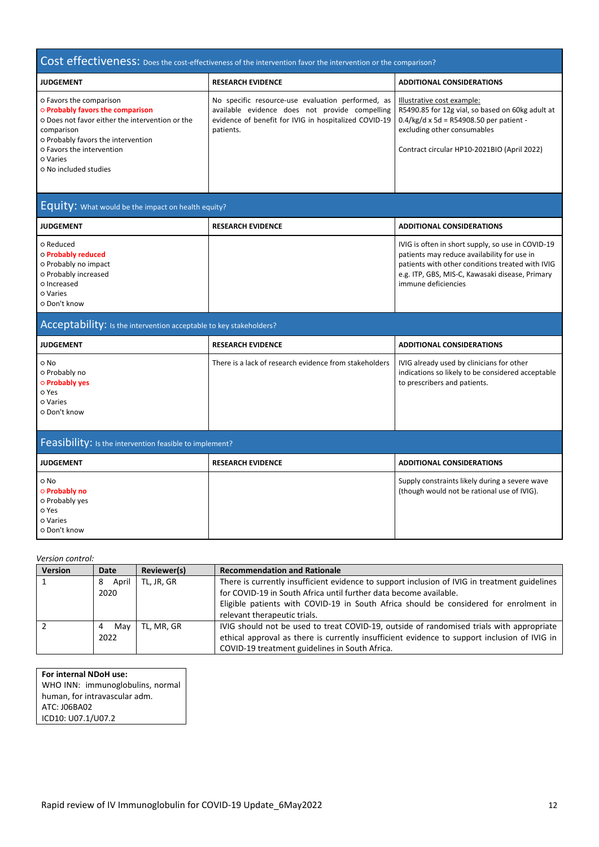# Cost effectiveness: Does the cost-effectiveness of the intervention favor the intervention or the comparison?

| <b>JUDGEMENT</b>                                                                                                                                                                                                                            | <b>RESEARCH EVIDENCE</b>                                                                                                                                                  | <b>ADDITIONAL CONSIDERATIONS</b>                                                                                                                                                                               |
|---------------------------------------------------------------------------------------------------------------------------------------------------------------------------------------------------------------------------------------------|---------------------------------------------------------------------------------------------------------------------------------------------------------------------------|----------------------------------------------------------------------------------------------------------------------------------------------------------------------------------------------------------------|
| O Favors the comparison<br><b>O Probably favors the comparison</b><br>O Does not favor either the intervention or the<br>comparison<br>o Probably favors the intervention<br>o Favors the intervention<br>o Varies<br>o No included studies | No specific resource-use evaluation performed, as<br>available evidence does not provide compelling<br>evidence of benefit for IVIG in hospitalized COVID-19<br>patients. | Illustrative cost example:<br>R5490.85 for 12g vial, so based on 60kg adult at<br>$0.4/kg/d \times 5d = R54908.50$ per patient -<br>excluding other consumables<br>Contract circular HP10-2021BIO (April 2022) |
|                                                                                                                                                                                                                                             |                                                                                                                                                                           |                                                                                                                                                                                                                |

# Equity: What would be the impact on health equity?

| <b>JUDGEMENT</b>                                                                                                           | <b>RESEARCH EVIDENCE</b> | <b>ADDITIONAL CONSIDERATIONS</b>                                                                                                                                                                                               |
|----------------------------------------------------------------------------------------------------------------------------|--------------------------|--------------------------------------------------------------------------------------------------------------------------------------------------------------------------------------------------------------------------------|
| o Reduced<br>o Probably reduced<br>o Probably no impact<br>o Probably increased<br>o Increased<br>o Varies<br>o Don't know |                          | IVIG is often in short supply, so use in COVID-19<br>patients may reduce availability for use in<br>patients with other conditions treated with IVIG<br>e.g. ITP, GBS, MIS-C, Kawasaki disease, Primary<br>immune deficiencies |

| Acceptability: Is the intervention acceptable to key stakeholders?                  |                                                        |                                                                                                                                |  |  |  |  |
|-------------------------------------------------------------------------------------|--------------------------------------------------------|--------------------------------------------------------------------------------------------------------------------------------|--|--|--|--|
| <b>JUDGEMENT</b>                                                                    | <b>RESEARCH EVIDENCE</b>                               | <b>ADDITIONAL CONSIDERATIONS</b>                                                                                               |  |  |  |  |
| o No<br>o Probably no<br><b>O</b> Probably yes<br>o Yes<br>o Varies<br>o Don't know | There is a lack of research evidence from stakeholders | IVIG already used by clinicians for other<br>indications so likely to be considered acceptable<br>to prescribers and patients. |  |  |  |  |
| Feasibility: Is the intervention feasible to implement?                             |                                                        |                                                                                                                                |  |  |  |  |
| <b>JUDGEMENT</b>                                                                    | <b>RESEARCH EVIDENCE</b>                               | <b>ADDITIONAL CONSIDERATIONS</b>                                                                                               |  |  |  |  |
| o No                                                                                |                                                        |                                                                                                                                |  |  |  |  |

#### *Version control:*

| Version | Date       | Reviewer(s) | <b>Recommendation and Rationale</b>                                                           |
|---------|------------|-------------|-----------------------------------------------------------------------------------------------|
|         | April<br>8 | TL, JR, GR  | There is currently insufficient evidence to support inclusion of IVIG in treatment guidelines |
|         | 2020       |             | for COVID-19 in South Africa until further data become available.                             |
|         |            |             | Eligible patients with COVID-19 in South Africa should be considered for enrolment in         |
|         |            |             | relevant therapeutic trials.                                                                  |
|         | Mav        | TL, MR, GR  | IVIG should not be used to treat COVID-19, outside of randomised trials with appropriate      |
|         | 2022       |             | ethical approval as there is currently insufficient evidence to support inclusion of IVIG in  |
|         |            |             | COVID-19 treatment guidelines in South Africa.                                                |

#### **For internal NDoH use:**

WHO INN: immunoglobulins, normal human, for intravascular adm. ATC: J06BA02 ICD10: U07.1/U07.2